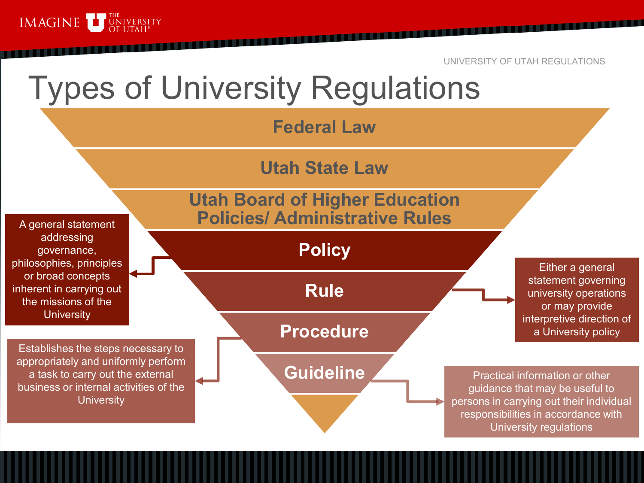

## Types of University Regulations

**Federal Law** 

**Utah State Law**